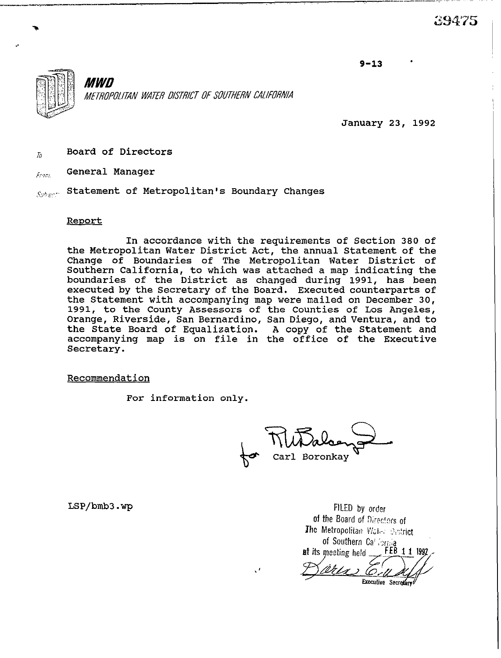$9 - 13$ 



*MWD A4ETBOPffUTAN WATER DISTRICT OF SUU7HERN CAIIfffRNlA* 

January 23, 1992

 $Z_{\bar{z}}$  Board of Directors

 $\epsilon_{F2CL}$  General Manager

 ${}_{S\!t\!h\!e\!c\!f\!c}$  Statement of Metropolitan's Boundary Changes

## Reoort

In accordance with the requirements of Section 380 of the Metropolitan Water District Act, the annual Statement of the Change of Boundaries of The Metropolitan Water District of Southern California, to which was attached a map indicating the boundaries of the District as changed during 1991, has been executed by the Secretary of the Board. Executed counterparts of the Statement with accompanying map were mailed on December 30, 1991, to the County Assessors of the Counties of Los Angeles, Orange, Riverside, San Bernardino, San Diego, and Ventura, and to the State Board of Equalization. A copy of the Statement and accompanying map is on file in the office of the Executive Secretary.

I'

Recommendation

For information only.

for Carl Boronkay

LSP/bmb3.wp FILED by order of the Board of Directors of The Metropolitan Water District of Southern Call Forma at its meeting held FEB 1 1 1992 <u> Wils)</u>

Executive Secretary